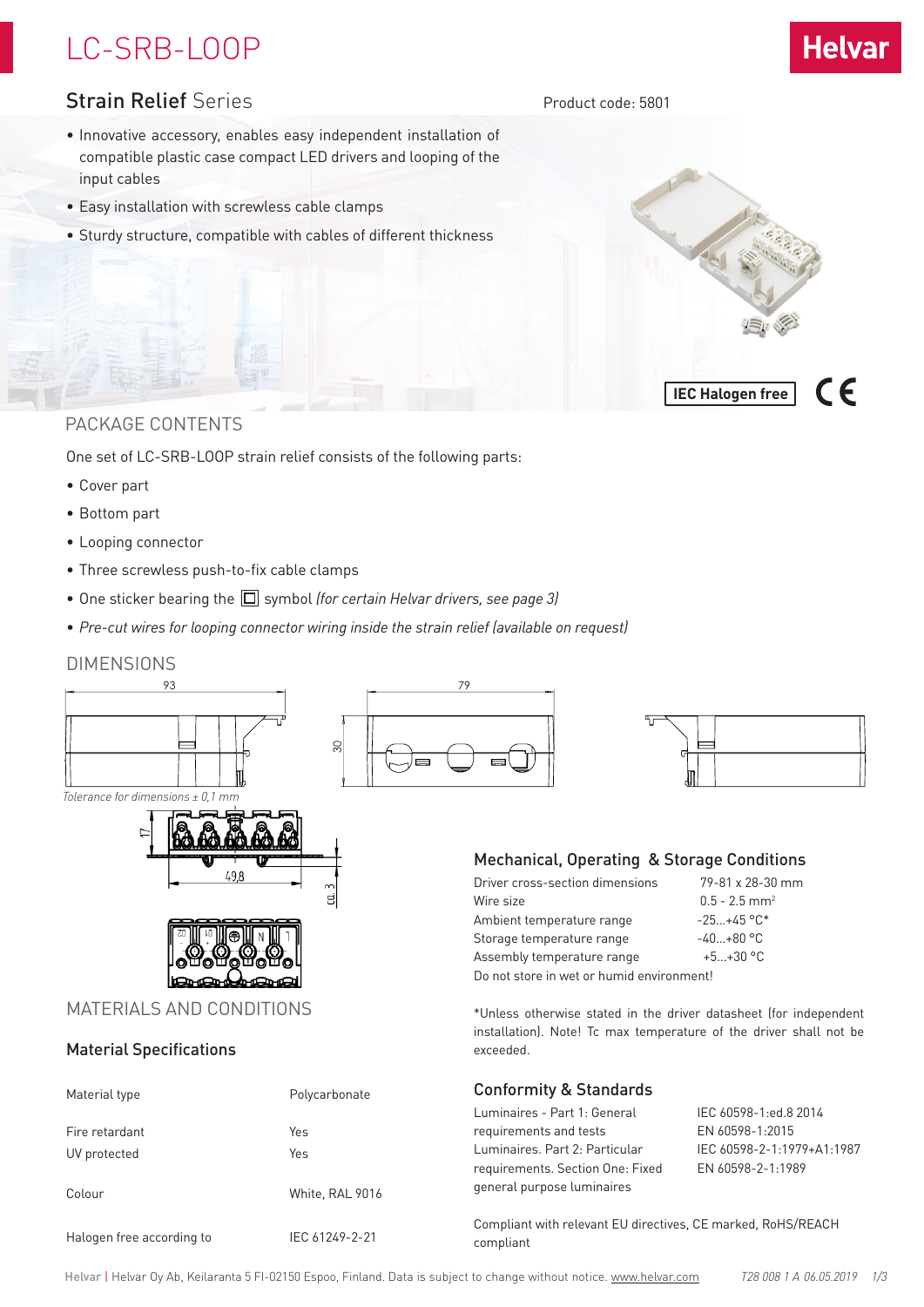# LC-SRB-LOOP



 $\epsilon$ 

**IEC Halogen free**

Product code: 5801

### Strain Relief Series

- Innovative accessory, enables easy independent installation of compatible plastic case compact LED drivers and looping of the input cables
- Easy installation with screwless cable clamps
- Sturdy structure, compatible with cables of different thickness

### PACKAGE CONTENTS

One set of LC-SRB-LOOP strain relief consists of the following parts:

- Cover part
- Bottom part
- Looping connector
- Three screwless push-to-fix cable clamps

Colour White, RAL 9016

Halogen free according to IEC 61249-2-21

- One sticker bearing the  $\Box$  symbol *(for certain Helvar drivers, see page 3)*
- *• Pre-cut wires for looping connector wiring inside the strain relief (available on request)*

#### DIMENSIONS



Compliant with relevant EU directives, CE marked, RoHS/REACH compliant

requirements. Section One: Fixed EN 60598-2-1:1989

general purpose luminaires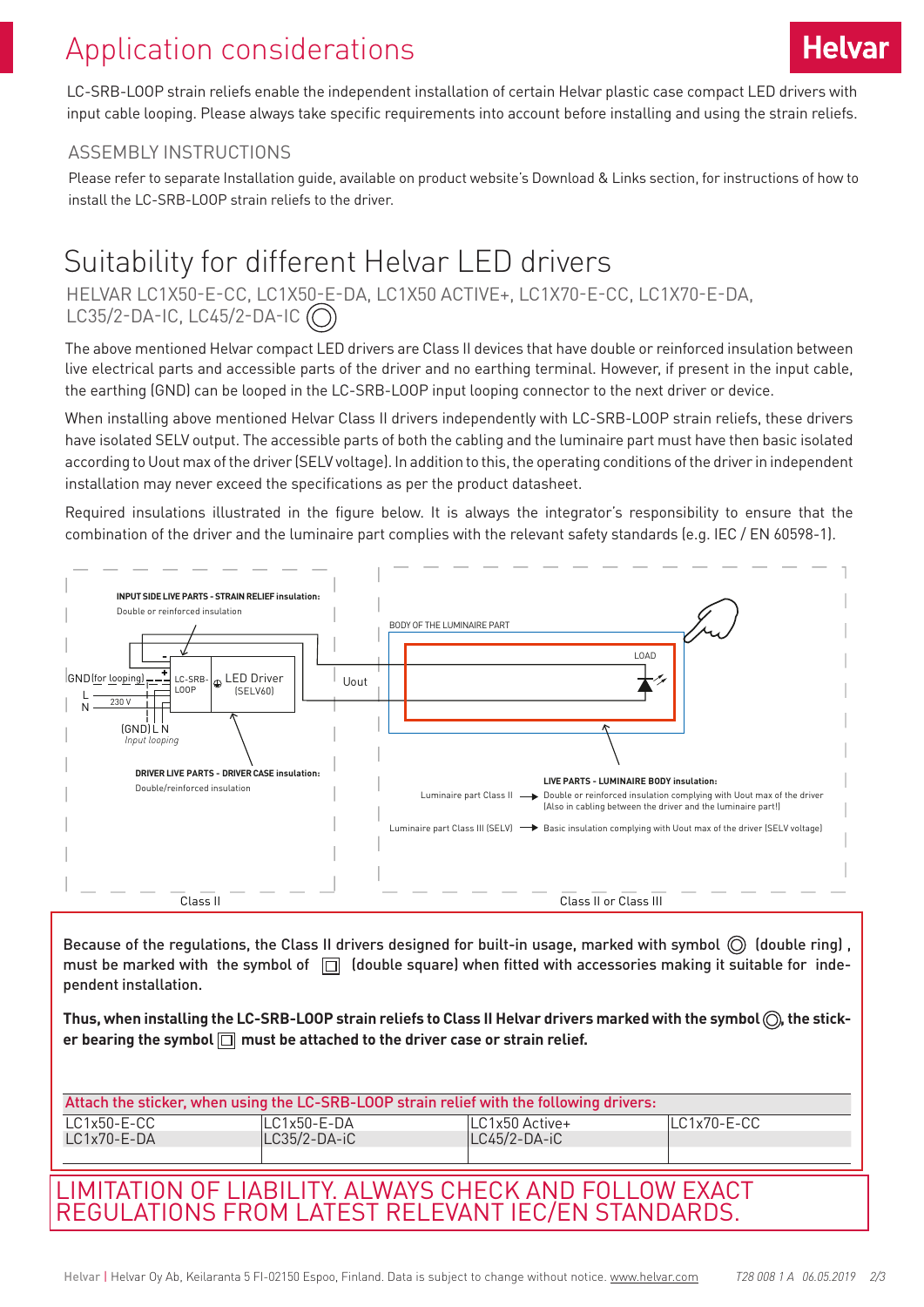## Application considerations

LC-SRB-LOOP strain reliefs enable the independent installation of certain Helvar plastic case compact LED drivers with input cable looping. Please always take specific requirements into account before installing and using the strain reliefs.

### ASSEMBLY INSTRUCTIONS

Please refer to separate Installation guide, available on product website's Download & Links section, for instructions of how to install the LC-SRB-LOOP strain reliefs to the driver.

### Suitability for different Helvar LED drivers

HELVAR LC1X50-E-CC, LC1X50-E-DA, LC1X50 ACTIVE+, LC1X70-E-CC, LC1X70-E-DA, LC35/2-DA-IC, LC45/2-DA-IC  $\circ$ 

The above mentioned Helvar compact LED drivers are Class II devices that have double or reinforced insulation between live electrical parts and accessible parts of the driver and no earthing terminal. However, if present in the input cable, the earthing (GND) can be looped in the LC-SRB-LOOP input looping connector to the next driver or device.

When installing above mentioned Helvar Class II drivers independently with LC-SRB-LOOP strain reliefs, these drivers have isolated SELV output. The accessible parts of both the cabling and the luminaire part must have then basic isolated according to Uout max of the driver (SELV voltage). In addition to this, the operating conditions of the driver in independent installation may never exceed the specifications as per the product datasheet.

Required insulations illustrated in the figure below. It is always the integrator's responsibility to ensure that the combination of the driver and the luminaire part complies with the relevant safety standards (e.g. IEC / EN 60598-1).



Because of the regulations, the Class II drivers designed for built-in usage, marked with symbol  $\circled{0}$  (double ring), must be marked with the symbol of  $\Box$  (double square) when fitted with accessories making it suitable for independent installation.

Thus, when installing the LC-SRB-LOOP strain reliefs to Class II Helvar drivers marked with the symbol (O), the sticker bearing the symbol  $\Box$  must be attached to the driver case or strain relief.

| Attach the sticker, when using the LC-SRB-LOOP strain relief with the following drivers: |                 |                |             |
|------------------------------------------------------------------------------------------|-----------------|----------------|-------------|
| $LC1x50-E-CC$                                                                            | $LC1x50 - E-DA$ | LC1x50 Active+ | LC1x70-E-CC |
| $LC1x70-E-DA$                                                                            | LC35/2-DA-iC    | LC45/2-DA-iC   |             |
|                                                                                          |                 |                |             |
| LIMITATION OF LIABILITY. ALWAYS CHECK AND FOLLOW EXACT                                   |                 |                |             |
| REGULATIONS FROM LATEST RELEVANT IEC/EN STANDARDS.                                       |                 |                |             |